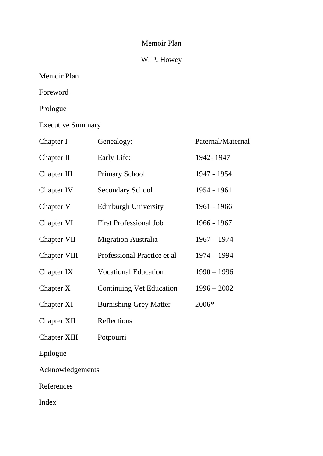## Memoir Plan

## W. P. Howey

| Memoir Plan |  |
|-------------|--|
|-------------|--|

Foreword

Prologue

Executive Summary

| Chapter I           | Genealogy:                      | Paternal/Maternal |
|---------------------|---------------------------------|-------------------|
| Chapter II          | Early Life:                     | 1942-1947         |
| Chapter III         | <b>Primary School</b>           | 1947 - 1954       |
| Chapter IV          | <b>Secondary School</b>         | 1954 - 1961       |
| Chapter V           | <b>Edinburgh University</b>     | 1961 - 1966       |
| Chapter VI          | <b>First Professional Job</b>   | 1966 - 1967       |
| <b>Chapter VII</b>  | <b>Migration Australia</b>      | $1967 - 1974$     |
| <b>Chapter VIII</b> | Professional Practice et al     | $1974 - 1994$     |
| Chapter IX          | <b>Vocational Education</b>     | $1990 - 1996$     |
| Chapter X           | <b>Continuing Vet Education</b> | $1996 - 2002$     |
| Chapter XI          | <b>Burnishing Grey Matter</b>   | 2006*             |
| <b>Chapter XII</b>  | Reflections                     |                   |
| <b>Chapter XIII</b> | Potpourri                       |                   |
| Epilogue            |                                 |                   |
| Acknowledgements    |                                 |                   |

References

Index